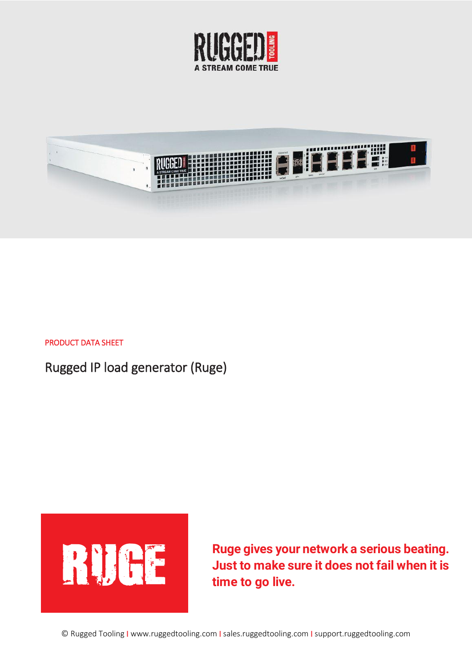



#### PRODUCT DATA SHEET

Rugged IP load generator (Ruge)



**Ruge gives your network a serious beating.**<br> **Ruge gives your network a serious beating.**<br> **Ruge gives your network a serious beating.**<br> **Ruge gives your network a serious beating. Just to make sure it does not fail when it is time to go live.**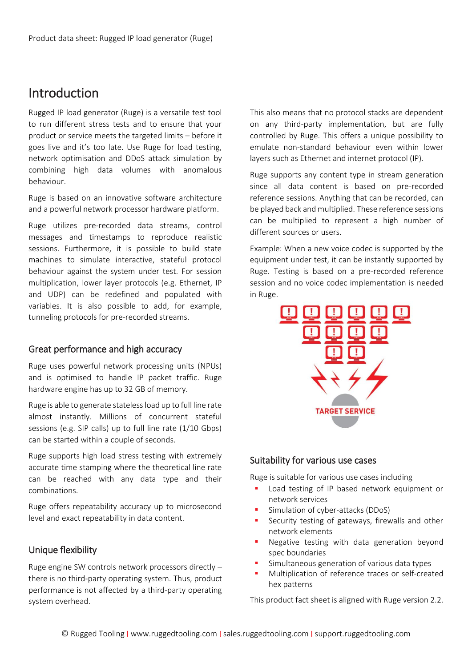## Introduction

Rugged IP load generator (Ruge) is a versatile test tool to run different stress tests and to ensure that your product or service meets the targeted limits – before it goes live and it's too late. Use Ruge for load testing, network optimisation and DDoS attack simulation by combining high data volumes with anomalous behaviour.

Ruge is based on an innovative software architecture and a powerful network processor hardware platform.

Ruge utilizes pre-recorded data streams, control messages and timestamps to reproduce realistic sessions. Furthermore, it is possible to build state machines to simulate interactive, stateful protocol behaviour against the system under test. For session multiplication, lower layer protocols (e.g. Ethernet, IP and UDP) can be redefined and populated with variables. It is also possible to add, for example, tunneling protocols for pre-recorded streams.

#### Great performance and high accuracy

Ruge uses powerful network processing units (NPUs) and is optimised to handle IP packet traffic. Ruge hardware engine has up to 32 GB of memory.

Ruge is able to generate stateless load up to full line rate almost instantly. Millions of concurrent stateful sessions (e.g. SIP calls) up to full line rate (1/10 Gbps) can be started within a couple of seconds.

Ruge supports high load stress testing with extremely accurate time stamping where the theoretical line rate can be reached with any data type and their combinations.

Ruge offers repeatability accuracy up to microsecond level and exact repeatability in data content.

## Unique flexibility

Ruge engine SW controls network processors directly – there is no third-party operating system. Thus, product performance is not affected by a third-party operating system overhead.

This also means that no protocol stacks are dependent on any third-party implementation, but are fully controlled by Ruge. This offers a unique possibility to emulate non-standard behaviour even within lower layers such as Ethernet and internet protocol (IP).

Ruge supports any content type in stream generation since all data content is based on pre-recorded reference sessions. Anything that can be recorded, can be played back and multiplied. These reference sessions can be multiplied to represent a high number of different sources or users.

Example: When a new voice codec is supported by the equipment under test, it can be instantly supported by Ruge. Testing is based on a pre-recorded reference session and no voice codec implementation is needed in Ruge.



#### Suitability for various use cases

Ruge is suitable for various use cases including

- Load testing of IP based network equipment or network services
- Simulation of cyber-attacks (DDoS)
- Security testing of gateways, firewalls and other network elements
- **Negative testing with data generation beyond** spec boundaries
- Simultaneous generation of various data types
- Multiplication of reference traces or self-created hex patterns

This product fact sheet is aligned with Ruge version 2.2.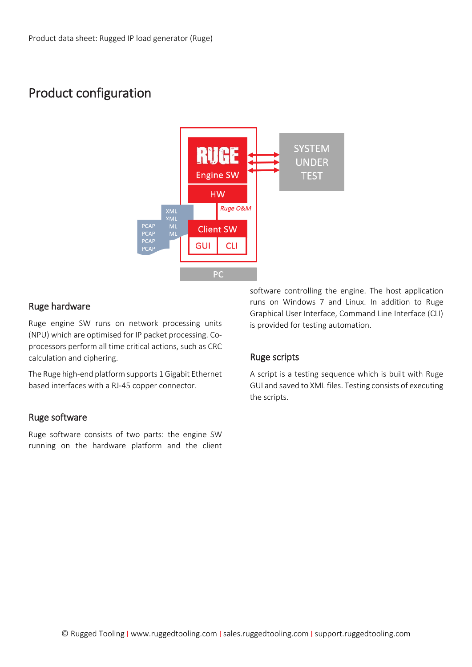## Product configuration



### Ruge hardware

Ruge engine SW runs on network processing units (NPU) which are optimised for IP packet processing. Coprocessors perform all time critical actions, such as CRC calculation and ciphering.

The Ruge high-end platform supports 1 Gigabit Ethernet based interfaces with a RJ-45 copper connector.

## Ruge software

Ruge software consists of two parts: the engine SW running on the hardware platform and the client software controlling the engine. The host application runs on Windows 7 and Linux. In addition to Ruge Graphical User Interface, Command Line Interface (CLI) is provided for testing automation.

## Ruge scripts

A script is a testing sequence which is built with Ruge GUI and saved to XML files. Testing consists of executing the scripts.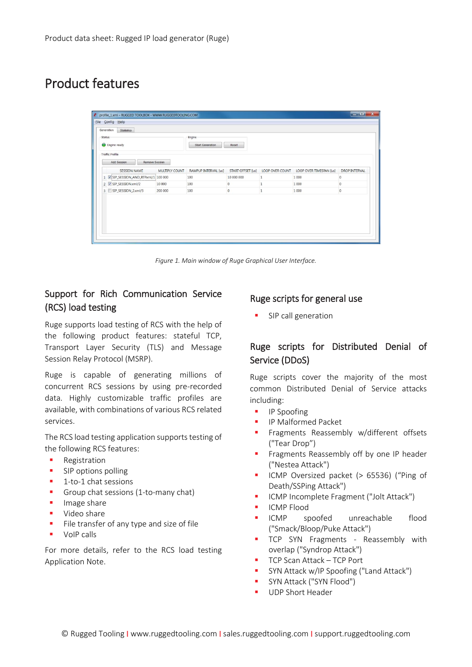# Product features

| Status | Engine ready<br><b>Traffic Profile</b> |                | Engine<br><b>Start Generation</b> | Reset             |                 |                         |                      |
|--------|----------------------------------------|----------------|-----------------------------------|-------------------|-----------------|-------------------------|----------------------|
|        | Add Session<br><b>Remove Session</b>   |                |                                   |                   |                 |                         |                      |
|        | <b>SESSION NAME</b>                    | MULTIPLY COUNT | RAMPUP INTERVAL [us]              | START OFFSET [us] | LOOP OVER COUNT | LOOP OVER TIMESPAN [us] | <b>DROP INTERVAL</b> |
|        | 1 V SIP_SESSION_AND_RTPxml/1 100 000   |                | 100                               | 10 000 000        | 1               | 1 000                   | $\mathbf{0}$         |
|        | 2 V SIP_SESSION.xml/2                  | 10 000         | 100                               | $\bf{0}$          |                 | 1 000                   | $\,0\,$              |
|        | 3 SIP_SESSION_2.xml/3                  | 200 000        | 100                               | $\bf{0}$          | $\,1$           | 1 000                   | $\overline{0}$       |
|        |                                        |                |                                   |                   |                 |                         |                      |

*Figure 1. Main window of Ruge Graphical User Interface.* 

## Support for Rich Communication Service (RCS) load testing

Ruge supports load testing of RCS with the help of the following product features: stateful TCP, Transport Layer Security (TLS) and Message Session Relay Protocol (MSRP).

Ruge is capable of generating millions of concurrent RCS sessions by using pre-recorded data. Highly customizable traffic profiles are available, with combinations of various RCS related services.

The RCS load testing application supports testing of the following RCS features:

- **Registration**
- **SIP options polling**
- 1-to-1 chat sessions
- Group chat sessions (1-to-many chat)
- **Image share**
- **Video share**
- File transfer of any type and size of file
- **volp calls**

For more details, refer to the RCS load testing Application Note.

#### Ruge scripts for general use

**SIP call generation** 

## Ruge scripts for Distributed Denial of Service (DDoS)

Ruge scripts cover the majority of the most common Distributed Denial of Service attacks including:

- **IP Spoofing**
- **IF Malformed Packet**
- **Filter Fragments Reassembly w/different offsets** ("Tear Drop")
- Fragments Reassembly off by one IP header ("Nestea Attack")
- ICMP Oversized packet (> 65536) ("Ping of Death/SSPing Attack")
- **ICMP Incomplete Fragment ("Jolt Attack")**
- ICMP Flood
- ICMP spoofed unreachable flood ("Smack/Bloop/Puke Attack")
- **TCP SYN Fragments Reassembly with** overlap ("Syndrop Attack")
- TCP Scan Attack TCP Port
- **SYN Attack w/IP Spoofing ("Land Attack")**
- SYN Attack ("SYN Flood")
- UDP Short Header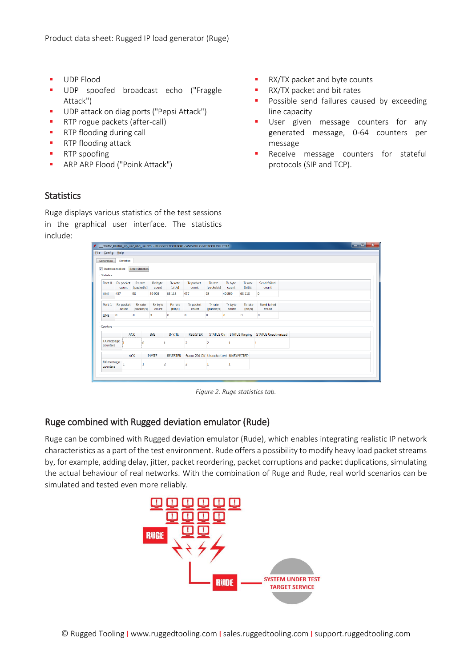- **UDP Flood**
- UDP spoofed broadcast echo ("Fraggle Attack")
- UDP attack on diag ports ("Pepsi Attack")
- **RTP** rogue packets (after-call)
- **RTP flooding during call**
- **RTP** flooding attack
- RTP spoofing
- ARP ARP Flood ("Poink Attack")
- **RX/TX packet and byte counts**
- RX/TX packet and bit rates
- Possible send failures caused by exceeding line capacity
- User given message counters for any generated message, 0-64 counters per message
- Receive message counters for stateful protocols (SIP and TCP).

#### **Statistics**

Ruge displays various statistics of the test sessions in the graphical user interface. The statistics include:

|                                           |                           |                              |                         |                           | Fraffic Profile sip uac and uas.xml - RUGGED TOOLBOX - WWW.RUGGEDTOOLING.COM |                       |                  |                           |                                              | $\begin{array}{c c c c c c} \hline \multicolumn{3}{c }{\mathbf{I}} & \multicolumn{3}{c }{\mathbf{X}} & \multicolumn{3}{c }{\mathbf{I}} & \multicolumn{3}{c }{\mathbf{X}} \\ \hline \multicolumn{3}{c }{\mathbf{I}} & \multicolumn{3}{c }{\mathbf{I}} & \multicolumn{3}{c }{\mathbf{X}} & \multicolumn{3}{c }{\mathbf{I}} & \multicolumn{3}{c }{\mathbf{I}} & \multicolumn{3}{c }{\mathbf{I}} \end{array}$ |
|-------------------------------------------|---------------------------|------------------------------|-------------------------|---------------------------|------------------------------------------------------------------------------|-----------------------|------------------|---------------------------|----------------------------------------------|-----------------------------------------------------------------------------------------------------------------------------------------------------------------------------------------------------------------------------------------------------------------------------------------------------------------------------------------------------------------------------------------------------------|
| File Config Help                          |                           |                              |                         |                           |                                                                              |                       |                  |                           |                                              |                                                                                                                                                                                                                                                                                                                                                                                                           |
| <b>Generation</b>                         | <b>Statistics</b>         |                              |                         |                           |                                                                              |                       |                  |                           |                                              |                                                                                                                                                                                                                                                                                                                                                                                                           |
| V Statistics enabled<br><b>Statistics</b> |                           | <b>Reset Statistics</b>      |                         |                           |                                                                              |                       |                  |                           |                                              |                                                                                                                                                                                                                                                                                                                                                                                                           |
|                                           | Port 0 Rx packet<br>count | <b>Rx</b> rate<br>[packet/s] | Rx byte<br>count        | Rx rate<br>[bit/s]        | Tx packet<br>count                                                           | Tx rate<br>[packet/s] | Tx byte<br>count | Tx rate<br>[bity]         | Send failed<br>count                         |                                                                                                                                                                                                                                                                                                                                                                                                           |
| <b>LINE</b>                               | 457                       | 98                           | 40 908                  | 63 113                    | 457                                                                          | 98                    | 40 890           | 63 113                    | $\mathbf 0$                                  |                                                                                                                                                                                                                                                                                                                                                                                                           |
|                                           | Fort 1 Rx packet<br>count | Rx rate<br>[packet/s]        | <b>Rx byte</b><br>count | <b>Rx</b> rate<br>[bit/s] | Tx packet<br>count                                                           | Tx rate<br>[packet/s] | Tx byte<br>count | <b>Ix rate</b><br>[bit/s] | Send failed<br>count                         |                                                                                                                                                                                                                                                                                                                                                                                                           |
| $LINE$ $0$                                |                           | $\mathbf{0}$                 | $\circ$                 | $\circ$                   | 0                                                                            | $\mathbf{0}$          | $\mathbf{0}$     | $\bullet$                 | $\circ$                                      |                                                                                                                                                                                                                                                                                                                                                                                                           |
| Counters                                  |                           |                              |                         |                           |                                                                              |                       |                  |                           |                                              |                                                                                                                                                                                                                                                                                                                                                                                                           |
|                                           | <b>ACK</b>                |                              | <b>BYE</b>              | <b>INVITE</b>             | <b>REGISTER</b>                                                              |                       |                  |                           | STATUS Ok STATUS Ringing STATUS Unauthorized |                                                                                                                                                                                                                                                                                                                                                                                                           |
| TX message<br>counters                    |                           | $\theta$                     |                         |                           | 2                                                                            | 2                     |                  |                           |                                              |                                                                                                                                                                                                                                                                                                                                                                                                           |
|                                           |                           | ACK                          | <b>INVITE</b>           | <b>REGISTER</b>           | Status 200 OK Unauthorized UNEXPECTED                                        |                       |                  |                           |                                              |                                                                                                                                                                                                                                                                                                                                                                                                           |
| RX message<br>counters                    | f.                        | 1                            |                         | 2                         | 2                                                                            |                       |                  |                           |                                              |                                                                                                                                                                                                                                                                                                                                                                                                           |
|                                           |                           |                              |                         |                           |                                                                              |                       |                  |                           |                                              |                                                                                                                                                                                                                                                                                                                                                                                                           |

*Figure 2. Ruge statistics tab.*

#### Ruge combined with Rugged deviation emulator (Rude)

Ruge can be combined with Rugged deviation emulator (Rude), which enables integrating realistic IP network characteristics as a part of the test environment. Rude offers a possibility to modify heavy load packet streams by, for example, adding delay, jitter, packet reordering, packet corruptions and packet duplications, simulating the actual behaviour of real networks. With the combination of Ruge and Rude, real world scenarios can be simulated and tested even more reliably.

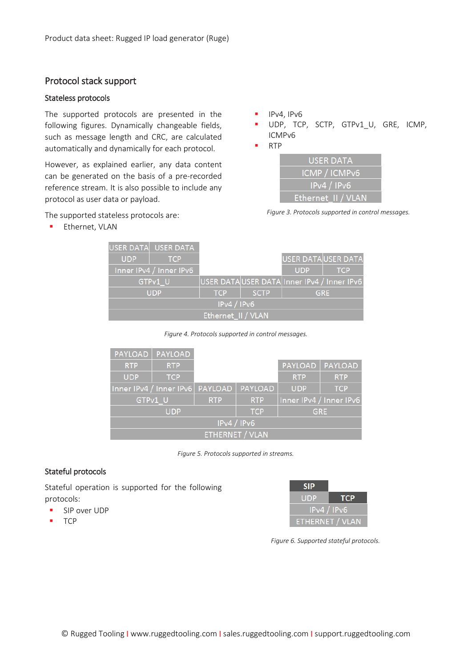#### Protocol stack support

#### Stateless protocols

The supported protocols are presented in the following figures. Dynamically changeable fields, such as message length and CRC, are calculated automatically and dynamically for each protocol.

However, as explained earlier, any data content can be generated on the basis of a pre-recorded reference stream. It is also possible to include any protocol as user data or payload.

- IPv4, IPv6
- UDP, TCP, SCTP, GTPv1\_U, GRE, ICMP, ICMPv6
- **RTP**



The supported stateless protocols are:

**Ethernet, VLAN** 

| Figure 3. Protocols supported in control messages. |  |  |
|----------------------------------------------------|--|--|
|                                                    |  |  |

|                         |                    | USER DATA USER DATA                        |            |             |                    |            |
|-------------------------|--------------------|--------------------------------------------|------------|-------------|--------------------|------------|
|                         | <b>UDP</b>         | <b>TCP</b>                                 |            |             | USER DATAUSER DATA |            |
| Inner IPv4 / Inner IPv6 |                    |                                            |            | <b>UDP</b>  | <b>TCP</b>         |            |
| GTPv1 U                 |                    | USER DATAUSER DATA Inner IPv4 / Inner IPv6 |            |             |                    |            |
|                         |                    | <b>UDP</b>                                 | <b>TCP</b> | <b>SCTP</b> |                    | <b>GRE</b> |
|                         | IPv4 / IPv6        |                                            |            |             |                    |            |
|                         | Ethernet_II / VLAN |                                            |            |             |                    |            |

*Figure 4. Protocols supported in control messages.*

| <b>PAYLOAD</b>          | PAYLOAD                                |            |                |                |                         |
|-------------------------|----------------------------------------|------------|----------------|----------------|-------------------------|
| <b>RTP</b>              | <b>RTP</b>                             |            |                | <b>PAYLOAD</b> | PAYLOAD                 |
| <b>UDP</b>              | <b>TCP</b>                             |            |                | <b>RTP</b>     | <b>RTP</b>              |
| Inner IPv4 / Inner IPv6 |                                        | PAYLOAD    | <b>PAYLOAD</b> | <b>UDP</b>     | <b>TCP</b>              |
|                         | GTPv1 U                                | <b>RTP</b> | <b>RTP</b>     |                | Inner IPv4 / Inner IPv6 |
|                         | <b>UDP</b><br><b>TCP</b><br><b>GRE</b> |            |                |                |                         |
| IPv4 / IPv6             |                                        |            |                |                |                         |
| <b>ETHERNET / VLAN</b>  |                                        |            |                |                |                         |

*Figure 5. Protocols supported in streams.*

#### Stateful protocols

Stateful operation is supported for the following protocols:

- **SIP over UDP**
- **TCP**



*Figure 6. Supported stateful protocols.*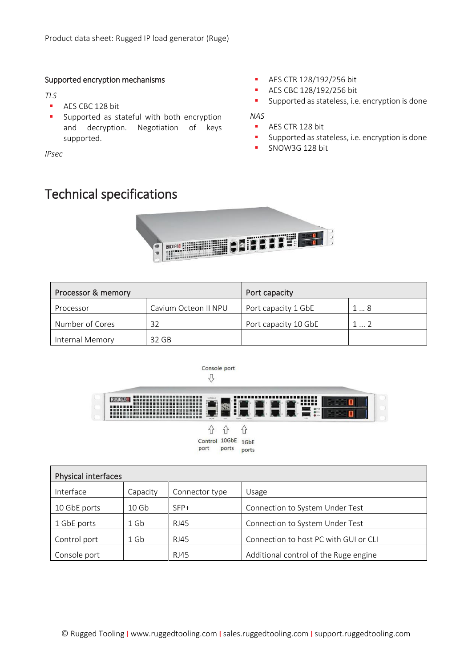#### Supported encryption mechanisms

*TLS*

- AES CBC 128 bit
- **Supported as stateful with both encryption** and decryption. Negotiation of keys supported.

*IPsec*

# Technical specifications

- **AES CTR 128/192/256 bit**
- **AES CBC 128/192/256 bit**
- **Supported as stateless, i.e. encryption is done**

*NAS*

- AES CTR 128 bit
- **Supported as stateless, i.e. encryption is done**
- **SNOW3G 128 bit**



| Processor & memory |                      | Port capacity        |    |  |
|--------------------|----------------------|----------------------|----|--|
| Processor          | Cavium Octeon II NPU | Port capacity 1 GbE  | 18 |  |
| Number of Cores    | 32                   | Port capacity 10 GbE | 12 |  |
| Internal Memory    | 32 GB                |                      |    |  |



|                    | ור זו | Ίľ    |
|--------------------|-------|-------|
| Control 10GbE 1GbE |       |       |
| port               | ports | ports |

| <b>Physical interfaces</b> |                  |                |                                       |  |
|----------------------------|------------------|----------------|---------------------------------------|--|
| Interface                  | Capacity         | Connector type | Usage                                 |  |
| 10 GbE ports               | 10 <sub>6b</sub> | SFP+           | Connection to System Under Test       |  |
| 1 GbE ports                | $1$ Gb           | RJ45           | Connection to System Under Test       |  |
| Control port               | $1$ Gb           | RJ45           | Connection to host PC with GUI or CLI |  |
| Console port               |                  | <b>RJ45</b>    | Additional control of the Ruge engine |  |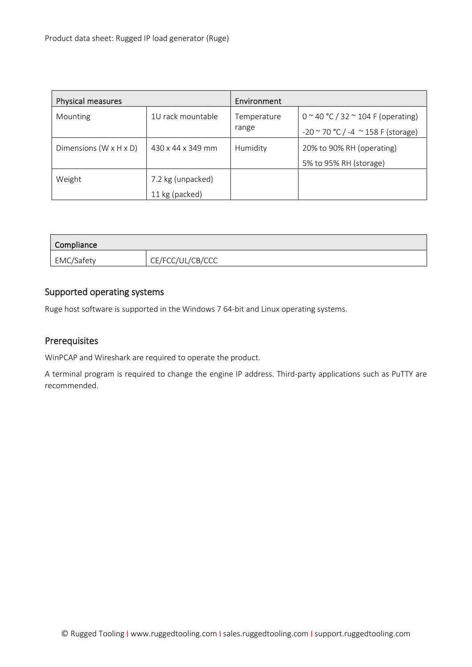| Physical measures                  |                   | Environment |                                              |
|------------------------------------|-------------------|-------------|----------------------------------------------|
| Mounting                           | 1U rack mountable | Temperature | $0 \sim 40$ °C / 32 $\sim$ 104 F (operating) |
|                                    |                   | range       | $-20$ ~ 70 °C / -4 ~ 158 F (storage)         |
| Dimensions $(W \times H \times D)$ | 430 x 44 x 349 mm | Humidity    | 20% to 90% RH (operating)                    |
|                                    |                   |             | 5% to 95% RH (storage)                       |
| Weight                             | 7.2 kg (unpacked) |             |                                              |
|                                    | 11 kg (packed)    |             |                                              |

| Compliance |                  |
|------------|------------------|
| EMC/Safety | CE/FCC/UL/CB/CCC |

## Supported operating systems

Ruge host software is supported in the Windows 7 64-bit and Linux operating systems.

### Prerequisites

WinPCAP and Wireshark are required to operate the product.

A terminal program is required to change the engine IP address. Third-party applications such as PuTTY are recommended.